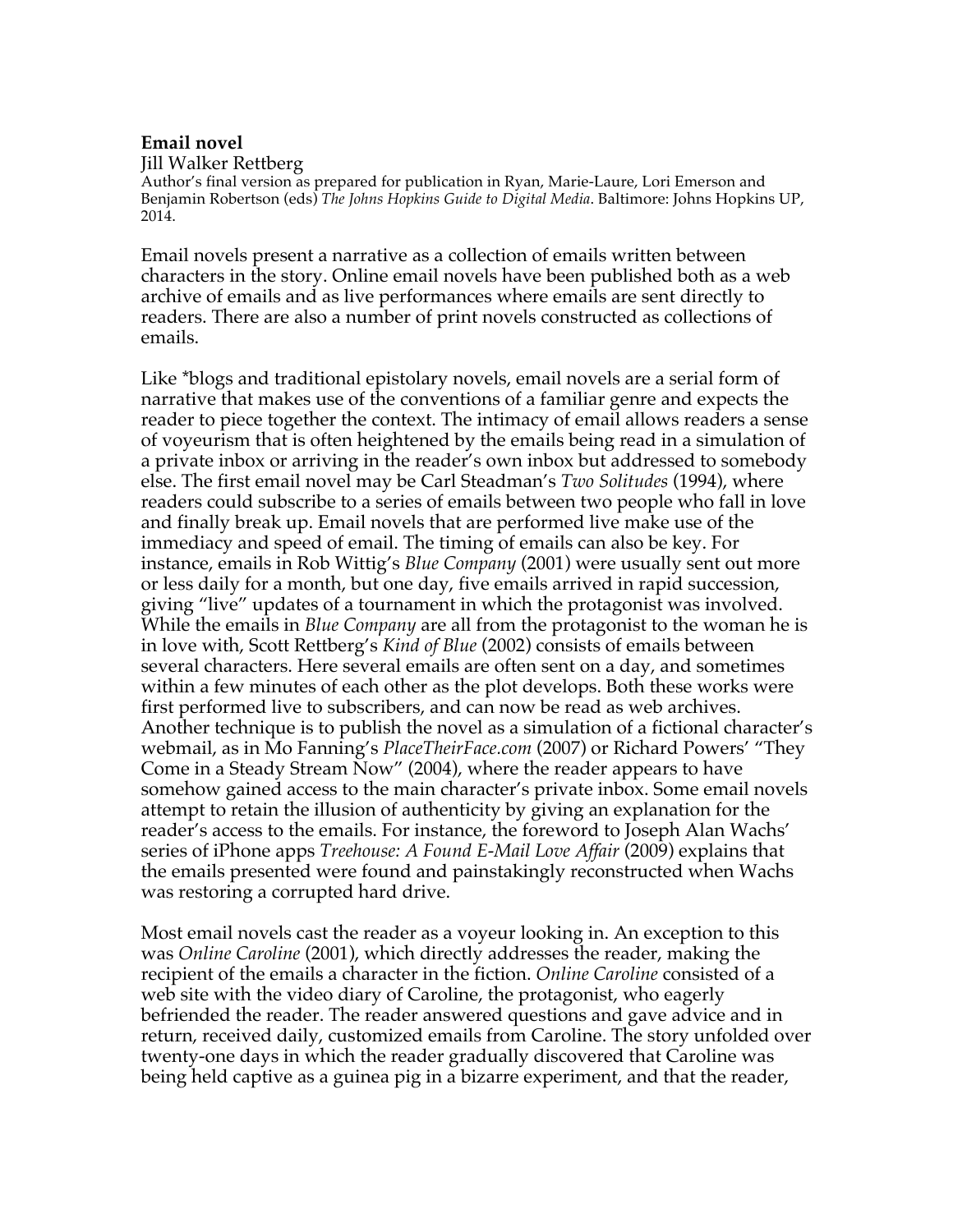## **Email novel**

Jill Walker Rettberg

Author's final version as prepared for publication in Ryan, Marie-Laure, Lori Emerson and Benjamin Robertson (eds) *The Johns Hopkins Guide to Digital Media*. Baltimore: Johns Hopkins UP, 2014.

Email novels present a narrative as a collection of emails written between characters in the story. Online email novels have been published both as a web archive of emails and as live performances where emails are sent directly to readers. There are also a number of print novels constructed as collections of emails.

Like \*blogs and traditional epistolary novels, email novels are a serial form of narrative that makes use of the conventions of a familiar genre and expects the reader to piece together the context. The intimacy of email allows readers a sense of voyeurism that is often heightened by the emails being read in a simulation of a private inbox or arriving in the reader's own inbox but addressed to somebody else. The first email novel may be Carl Steadman's *Two Solitudes* (1994), where readers could subscribe to a series of emails between two people who fall in love and finally break up. Email novels that are performed live make use of the immediacy and speed of email. The timing of emails can also be key. For instance, emails in Rob Wittig's *Blue Company* (2001) were usually sent out more or less daily for a month, but one day, five emails arrived in rapid succession, giving "live" updates of a tournament in which the protagonist was involved. While the emails in *Blue Company* are all from the protagonist to the woman he is in love with, Scott Rettberg's *Kind of Blue* (2002) consists of emails between several characters. Here several emails are often sent on a day, and sometimes within a few minutes of each other as the plot develops. Both these works were first performed live to subscribers, and can now be read as web archives. Another technique is to publish the novel as a simulation of a fictional character's webmail, as in Mo Fanning's *PlaceTheirFace.com* (2007) or Richard Powers' "They Come in a Steady Stream Now" (2004), where the reader appears to have somehow gained access to the main character's private inbox. Some email novels attempt to retain the illusion of authenticity by giving an explanation for the reader's access to the emails. For instance, the foreword to Joseph Alan Wachs' series of iPhone apps *Treehouse: A Found E-Mail Love Affair* (2009) explains that the emails presented were found and painstakingly reconstructed when Wachs was restoring a corrupted hard drive.

Most email novels cast the reader as a voyeur looking in. An exception to this was *Online Caroline* (2001), which directly addresses the reader, making the recipient of the emails a character in the fiction. *Online Caroline* consisted of a web site with the video diary of Caroline, the protagonist, who eagerly befriended the reader. The reader answered questions and gave advice and in return, received daily, customized emails from Caroline. The story unfolded over twenty-one days in which the reader gradually discovered that Caroline was being held captive as a guinea pig in a bizarre experiment, and that the reader,